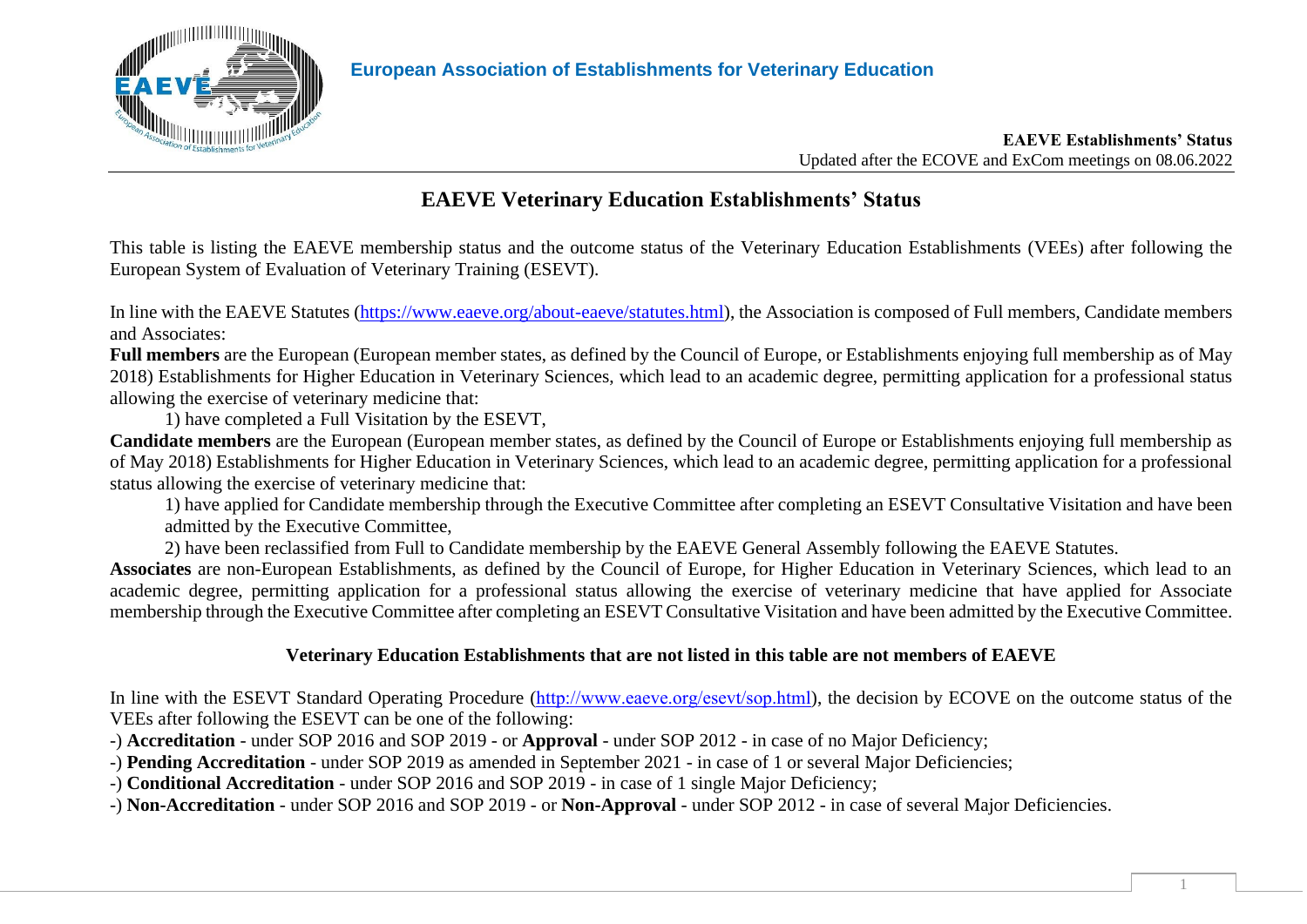

#### **EAEVE Establishments' Status** Updated after the ECOVE and ExCom meetings on 08.06.2022

## **EAEVE Veterinary Education Establishments' Status**

This table is listing the EAEVE membership status and the outcome status of the Veterinary Education Establishments (VEEs) after following the European System of Evaluation of Veterinary Training (ESEVT).

In line with the EAEVE Statutes [\(https://www.eaeve.org/about-eaeve/statutes.html\)](https://www.eaeve.org/about-eaeve/statutes.html), the Association is composed of Full members, Candidate members and Associates:

**Full members** are the European (European member states, as defined by the Council of Europe, or Establishments enjoying full membership as of May 2018) Establishments for Higher Education in Veterinary Sciences, which lead to an academic degree, permitting application for a professional status allowing the exercise of veterinary medicine that:

1) have completed a Full Visitation by the ESEVT,

**Candidate members** are the European (European member states, as defined by the Council of Europe or Establishments enjoying full membership as of May 2018) Establishments for Higher Education in Veterinary Sciences, which lead to an academic degree, permitting application for a professional status allowing the exercise of veterinary medicine that:

1) have applied for Candidate membership through the Executive Committee after completing an ESEVT Consultative Visitation and have been admitted by the Executive Committee,

2) have been reclassified from Full to Candidate membership by the EAEVE General Assembly following the EAEVE Statutes.

**Associates** are non-European Establishments, as defined by the Council of Europe, for Higher Education in Veterinary Sciences, which lead to an academic degree, permitting application for a professional status allowing the exercise of veterinary medicine that have applied for Associate membership through the Executive Committee after completing an ESEVT Consultative Visitation and have been admitted by the Executive Committee.

#### **Veterinary Education Establishments that are not listed in this table are not members of EAEVE**

In line with the ESEVT Standard Operating Procedure (<http://www.eaeve.org/esevt/sop.html>), the decision by ECOVE on the outcome status of the VEEs after following the ESEVT can be one of the following:

-) **Accreditation** - under SOP 2016 and SOP 2019 - or **Approval** - under SOP 2012 - in case of no Major Deficiency;

-) **Pending Accreditation** - under SOP 2019 as amended in September 2021 - in case of 1 or several Major Deficiencies;

-) **Conditional Accreditation** - under SOP 2016 and SOP 2019 - in case of 1 single Major Deficiency;

-) **Non-Accreditation** - under SOP 2016 and SOP 2019 - or **Non-Approval** - under SOP 2012 - in case of several Major Deficiencies.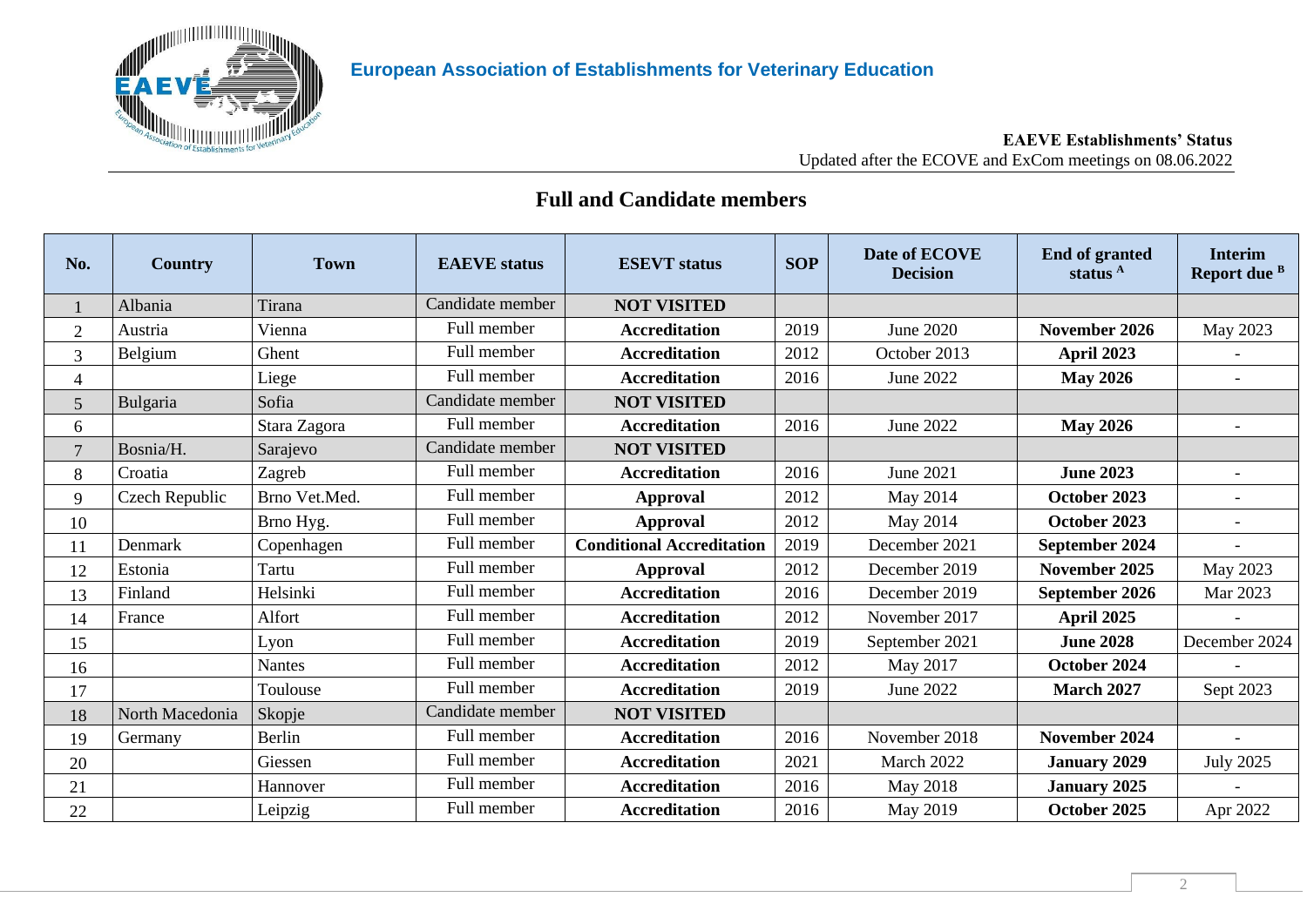

#### **EAEVE Establishments' Status** Updated after the ECOVE and ExCom meetings on 08.06.2022

## **Full and Candidate members**

| No.             | Country         | <b>Town</b>   | <b>EAEVE</b> status | <b>ESEVT</b> status              | <b>SOP</b> | Date of ECOVE<br><b>Decision</b> | <b>End of granted</b><br>status <sup>A</sup> | <b>Interim</b><br>Report due <sup>B</sup> |
|-----------------|-----------------|---------------|---------------------|----------------------------------|------------|----------------------------------|----------------------------------------------|-------------------------------------------|
|                 | Albania         | Tirana        | Candidate member    | <b>NOT VISITED</b>               |            |                                  |                                              |                                           |
| $\overline{2}$  | Austria         | Vienna        | Full member         | <b>Accreditation</b>             | 2019       | June 2020                        | November 2026                                | May 2023                                  |
| 3               | Belgium         | Ghent         | Full member         | <b>Accreditation</b>             | 2012       | October 2013                     | April 2023                                   |                                           |
| $\overline{4}$  |                 | Liege         | Full member         | <b>Accreditation</b>             | 2016       | <b>June 2022</b>                 | <b>May 2026</b>                              | $\overline{a}$                            |
| $5\overline{)}$ | Bulgaria        | Sofia         | Candidate member    | <b>NOT VISITED</b>               |            |                                  |                                              |                                           |
| 6               |                 | Stara Zagora  | Full member         | <b>Accreditation</b>             | 2016       | <b>June 2022</b>                 | <b>May 2026</b>                              | $\equiv$                                  |
| $7\overline{ }$ | Bosnia/H.       | Sarajevo      | Candidate member    | <b>NOT VISITED</b>               |            |                                  |                                              |                                           |
| 8               | Croatia         | Zagreb        | Full member         | <b>Accreditation</b>             | 2016       | <b>June 2021</b>                 | <b>June 2023</b>                             |                                           |
| 9               | Czech Republic  | Brno Vet.Med. | Full member         | <b>Approval</b>                  | 2012       | May 2014                         | October 2023                                 |                                           |
| 10              |                 | Brno Hyg.     | Full member         | <b>Approval</b>                  | 2012       | May 2014                         | October 2023                                 |                                           |
| 11              | Denmark         | Copenhagen    | Full member         | <b>Conditional Accreditation</b> | 2019       | December 2021                    | September 2024                               |                                           |
| 12              | Estonia         | Tartu         | Full member         | <b>Approval</b>                  | 2012       | December 2019                    | November 2025                                | May 2023                                  |
| 13              | Finland         | Helsinki      | Full member         | <b>Accreditation</b>             | 2016       | December 2019                    | September 2026                               | Mar 2023                                  |
| 14              | France          | Alfort        | Full member         | <b>Accreditation</b>             | 2012       | November 2017                    | April 2025                                   |                                           |
| 15              |                 | Lyon          | Full member         | <b>Accreditation</b>             | 2019       | September 2021                   | <b>June 2028</b>                             | December 2024                             |
| 16              |                 | Nantes        | Full member         | <b>Accreditation</b>             | 2012       | May 2017                         | October 2024                                 |                                           |
| 17              |                 | Toulouse      | Full member         | <b>Accreditation</b>             | 2019       | <b>June 2022</b>                 | <b>March 2027</b>                            | Sept 2023                                 |
| 18              | North Macedonia | Skopje        | Candidate member    | <b>NOT VISITED</b>               |            |                                  |                                              |                                           |
| 19              | Germany         | Berlin        | Full member         | <b>Accreditation</b>             | 2016       | November 2018                    | November 2024                                |                                           |
| 20              |                 | Giessen       | Full member         | <b>Accreditation</b>             | 2021       | March 2022                       | <b>January 2029</b>                          | <b>July 2025</b>                          |
| 21              |                 | Hannover      | Full member         | <b>Accreditation</b>             | 2016       | May 2018                         | <b>January 2025</b>                          |                                           |
| 22              |                 | Leipzig       | Full member         | <b>Accreditation</b>             | 2016       | May 2019                         | October 2025                                 | Apr 2022                                  |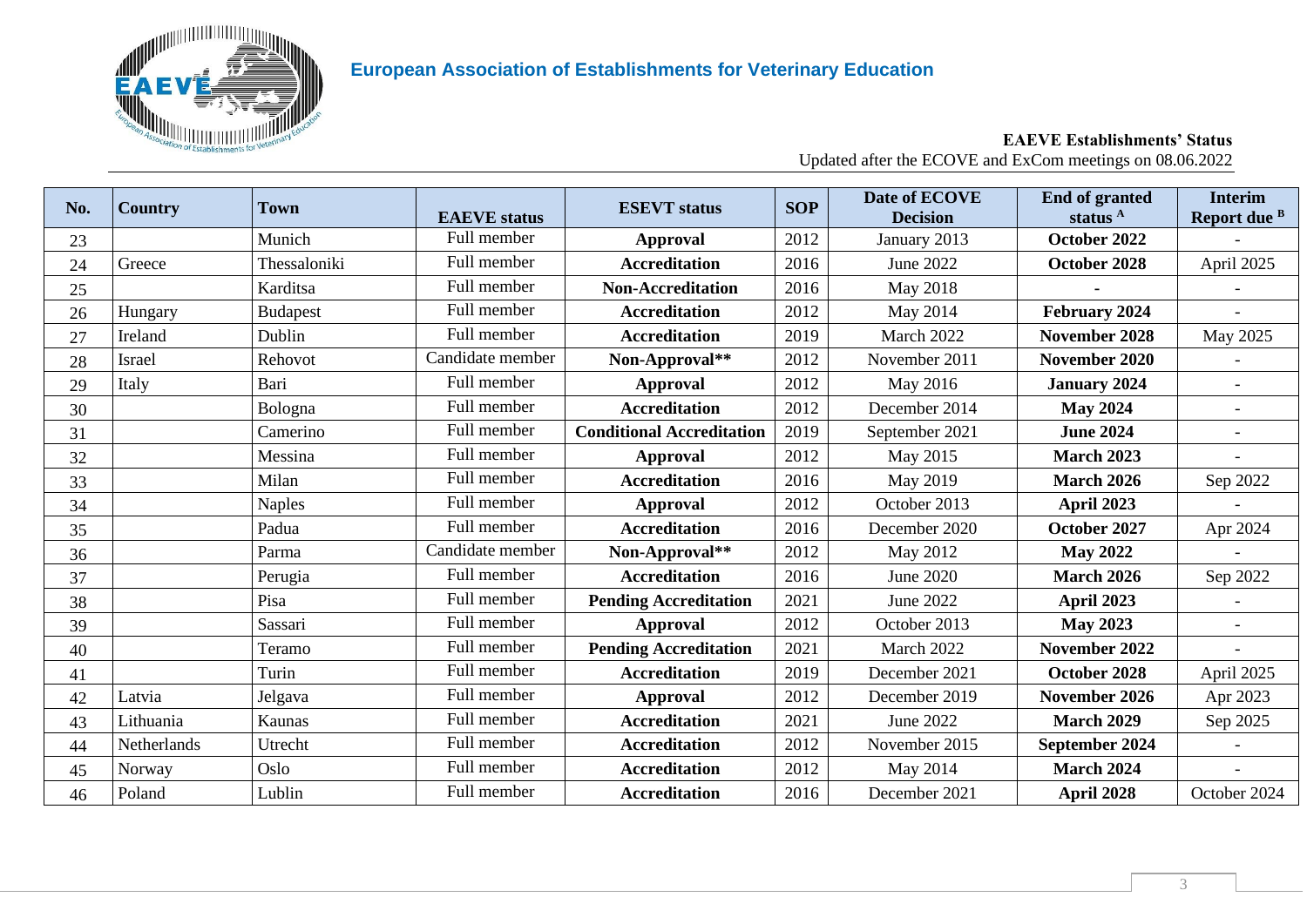

#### **EAEVE Establishments' Status** Updated after the ECOVE and ExCom meetings on 08.06.2022

| No. | <b>Country</b> | <b>Town</b>     | <b>EAEVE</b> status | <b>ESEVT</b> status              | <b>SOP</b> | Date of ECOVE<br><b>Decision</b> | <b>End of granted</b><br>status <sup>A</sup> | <b>Interim</b><br>Report due B |
|-----|----------------|-----------------|---------------------|----------------------------------|------------|----------------------------------|----------------------------------------------|--------------------------------|
| 23  |                | Munich          | Full member         | <b>Approval</b>                  | 2012       | January 2013                     | October 2022                                 |                                |
| 24  | Greece         | Thessaloniki    | Full member         | <b>Accreditation</b>             | 2016       | <b>June 2022</b>                 | October 2028                                 | April 2025                     |
| 25  |                | Karditsa        | Full member         | <b>Non-Accreditation</b>         | 2016       | May 2018                         |                                              |                                |
| 26  | Hungary        | <b>Budapest</b> | Full member         | <b>Accreditation</b>             | 2012       | May 2014                         | February 2024                                |                                |
| 27  | Ireland        | Dublin          | Full member         | <b>Accreditation</b>             | 2019       | March 2022                       | November 2028                                | May 2025                       |
| 28  | Israel         | Rehovot         | Candidate member    | Non-Approval**                   | 2012       | November 2011                    | November 2020                                |                                |
| 29  | Italy          | Bari            | Full member         | <b>Approval</b>                  | 2012       | May 2016                         | <b>January 2024</b>                          |                                |
| 30  |                | Bologna         | Full member         | <b>Accreditation</b>             | 2012       | December 2014                    | <b>May 2024</b>                              |                                |
| 31  |                | Camerino        | Full member         | <b>Conditional Accreditation</b> | 2019       | September 2021                   | <b>June 2024</b>                             |                                |
| 32  |                | Messina         | Full member         | <b>Approval</b>                  | 2012       | May 2015                         | <b>March 2023</b>                            |                                |
| 33  |                | Milan           | Full member         | <b>Accreditation</b>             | 2016       | May 2019                         | <b>March 2026</b>                            | Sep 2022                       |
| 34  |                | <b>Naples</b>   | Full member         | <b>Approval</b>                  | 2012       | October 2013                     | April 2023                                   |                                |
| 35  |                | Padua           | Full member         | <b>Accreditation</b>             | 2016       | December 2020                    | October 2027                                 | Apr 2024                       |
| 36  |                | Parma           | Candidate member    | Non-Approval**                   | 2012       | May 2012                         | <b>May 2022</b>                              |                                |
| 37  |                | Perugia         | Full member         | <b>Accreditation</b>             | 2016       | June 2020                        | <b>March 2026</b>                            | Sep 2022                       |
| 38  |                | Pisa            | Full member         | <b>Pending Accreditation</b>     | 2021       | June 2022                        | April 2023                                   |                                |
| 39  |                | Sassari         | Full member         | <b>Approval</b>                  | 2012       | October 2013                     | <b>May 2023</b>                              |                                |
| 40  |                | Teramo          | Full member         | <b>Pending Accreditation</b>     | 2021       | March 2022                       | November 2022                                |                                |
| 41  |                | Turin           | Full member         | <b>Accreditation</b>             | 2019       | December 2021                    | October 2028                                 | April 2025                     |
| 42  | Latvia         | Jelgava         | Full member         | <b>Approval</b>                  | 2012       | December 2019                    | November 2026                                | Apr 2023                       |
| 43  | Lithuania      | Kaunas          | Full member         | <b>Accreditation</b>             | 2021       | June 2022                        | <b>March 2029</b>                            | Sep 2025                       |
| 44  | Netherlands    | Utrecht         | Full member         | <b>Accreditation</b>             | 2012       | November 2015                    | September 2024                               |                                |
| 45  | Norway         | Oslo            | Full member         | <b>Accreditation</b>             | 2012       | May 2014                         | <b>March 2024</b>                            |                                |
| 46  | Poland         | Lublin          | Full member         | <b>Accreditation</b>             | 2016       | December 2021                    | April 2028                                   | October 2024                   |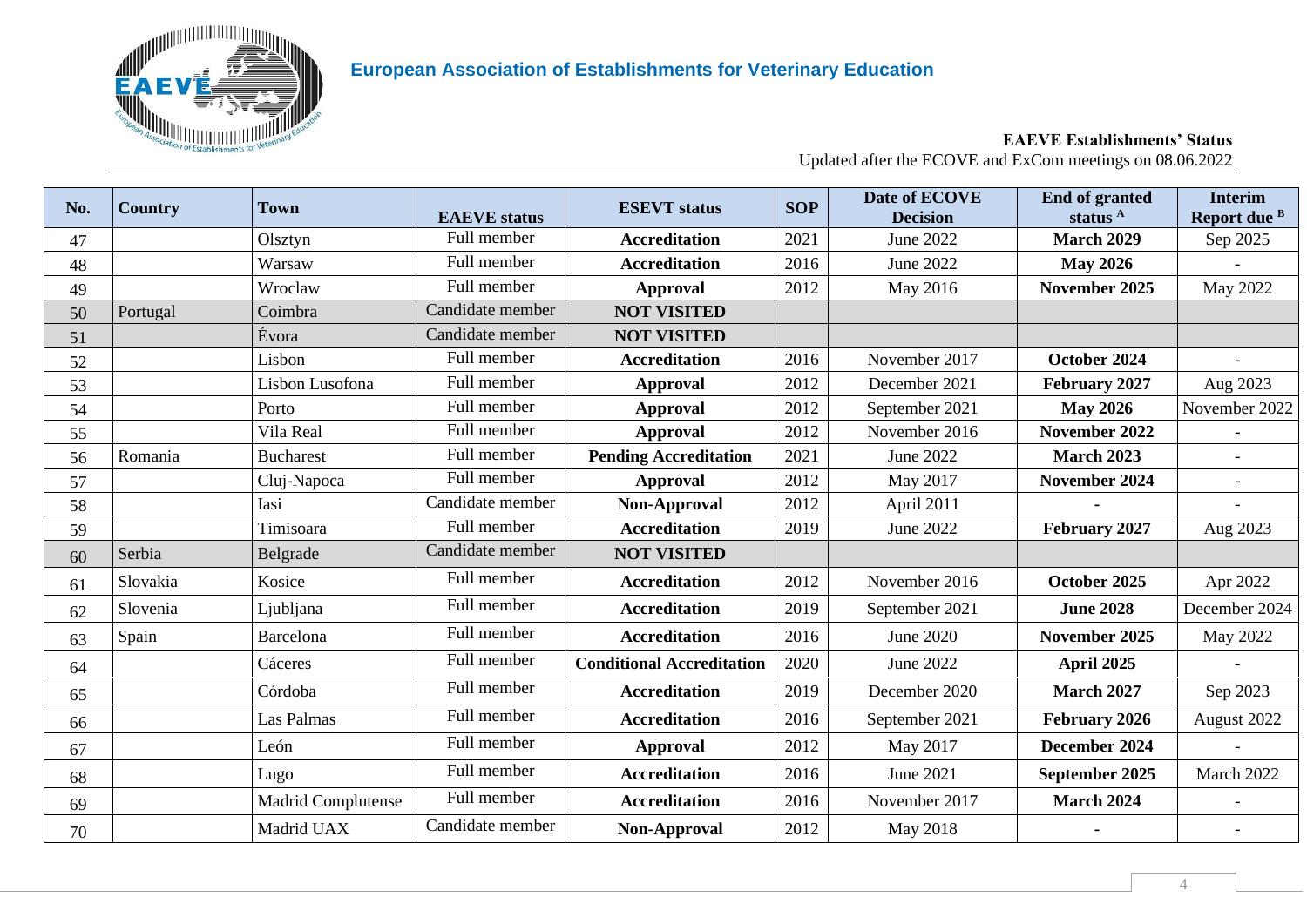

#### **EAEVE Establishments' Status** Updated after the ECOVE and ExCom meetings on 08.06.2022

| No. | <b>Country</b> | Town                      | <b>EAEVE</b> status | <b>ESEVT</b> status              | <b>SOP</b> | Date of ECOVE<br><b>Decision</b> | <b>End of granted</b><br>status $A$ | <b>Interim</b><br>Report due B |
|-----|----------------|---------------------------|---------------------|----------------------------------|------------|----------------------------------|-------------------------------------|--------------------------------|
| 47  |                | Olsztyn                   | Full member         | <b>Accreditation</b>             | 2021       | June 2022                        | <b>March 2029</b>                   | Sep 2025                       |
| 48  |                | Warsaw                    | Full member         | <b>Accreditation</b>             | 2016       | June 2022                        | <b>May 2026</b>                     |                                |
| 49  |                | Wroclaw                   | Full member         | <b>Approval</b>                  | 2012       | May 2016                         | November 2025                       | May 2022                       |
| 50  | Portugal       | Coimbra                   | Candidate member    | <b>NOT VISITED</b>               |            |                                  |                                     |                                |
| 51  |                | Évora                     | Candidate member    | <b>NOT VISITED</b>               |            |                                  |                                     |                                |
| 52  |                | Lisbon                    | Full member         | <b>Accreditation</b>             | 2016       | November 2017                    | October 2024                        |                                |
| 53  |                | Lisbon Lusofona           | Full member         | <b>Approval</b>                  | 2012       | December 2021                    | February 2027                       | Aug 2023                       |
| 54  |                | Porto                     | Full member         | <b>Approval</b>                  | 2012       | September 2021                   | <b>May 2026</b>                     | November 2022                  |
| 55  |                | Vila Real                 | Full member         | <b>Approval</b>                  | 2012       | November 2016                    | November 2022                       |                                |
| 56  | Romania        | <b>Bucharest</b>          | Full member         | <b>Pending Accreditation</b>     | 2021       | June 2022                        | <b>March 2023</b>                   |                                |
| 57  |                | Cluj-Napoca               | Full member         | <b>Approval</b>                  | 2012       | May 2017                         | November 2024                       |                                |
| 58  |                | Iasi                      | Candidate member    | Non-Approval                     | 2012       | April 2011                       |                                     |                                |
| 59  |                | Timisoara                 | Full member         | <b>Accreditation</b>             | 2019       | June 2022                        | February 2027                       | Aug 2023                       |
| 60  | Serbia         | Belgrade                  | Candidate member    | <b>NOT VISITED</b>               |            |                                  |                                     |                                |
| 61  | Slovakia       | Kosice                    | Full member         | <b>Accreditation</b>             | 2012       | November 2016                    | October 2025                        | Apr 2022                       |
| 62  | Slovenia       | Ljubljana                 | Full member         | <b>Accreditation</b>             | 2019       | September 2021                   | <b>June 2028</b>                    | December 2024                  |
| 63  | Spain          | Barcelona                 | Full member         | <b>Accreditation</b>             | 2016       | June 2020                        | November 2025                       | May 2022                       |
| 64  |                | Cáceres                   | Full member         | <b>Conditional Accreditation</b> | 2020       | June 2022                        | April 2025                          |                                |
| 65  |                | Córdoba                   | Full member         | <b>Accreditation</b>             | 2019       | December 2020                    | <b>March 2027</b>                   | Sep 2023                       |
| 66  |                | Las Palmas                | Full member         | <b>Accreditation</b>             | 2016       | September 2021                   | <b>February 2026</b>                | August 2022                    |
| 67  |                | León                      | Full member         | <b>Approval</b>                  | 2012       | May 2017                         | December 2024                       |                                |
| 68  |                | Lugo                      | Full member         | <b>Accreditation</b>             | 2016       | June 2021                        | September 2025                      | March 2022                     |
| 69  |                | <b>Madrid Complutense</b> | Full member         | <b>Accreditation</b>             | 2016       | November 2017                    | <b>March 2024</b>                   | $\blacksquare$                 |
| 70  |                | Madrid UAX                | Candidate member    | Non-Approval                     | 2012       | May 2018                         |                                     |                                |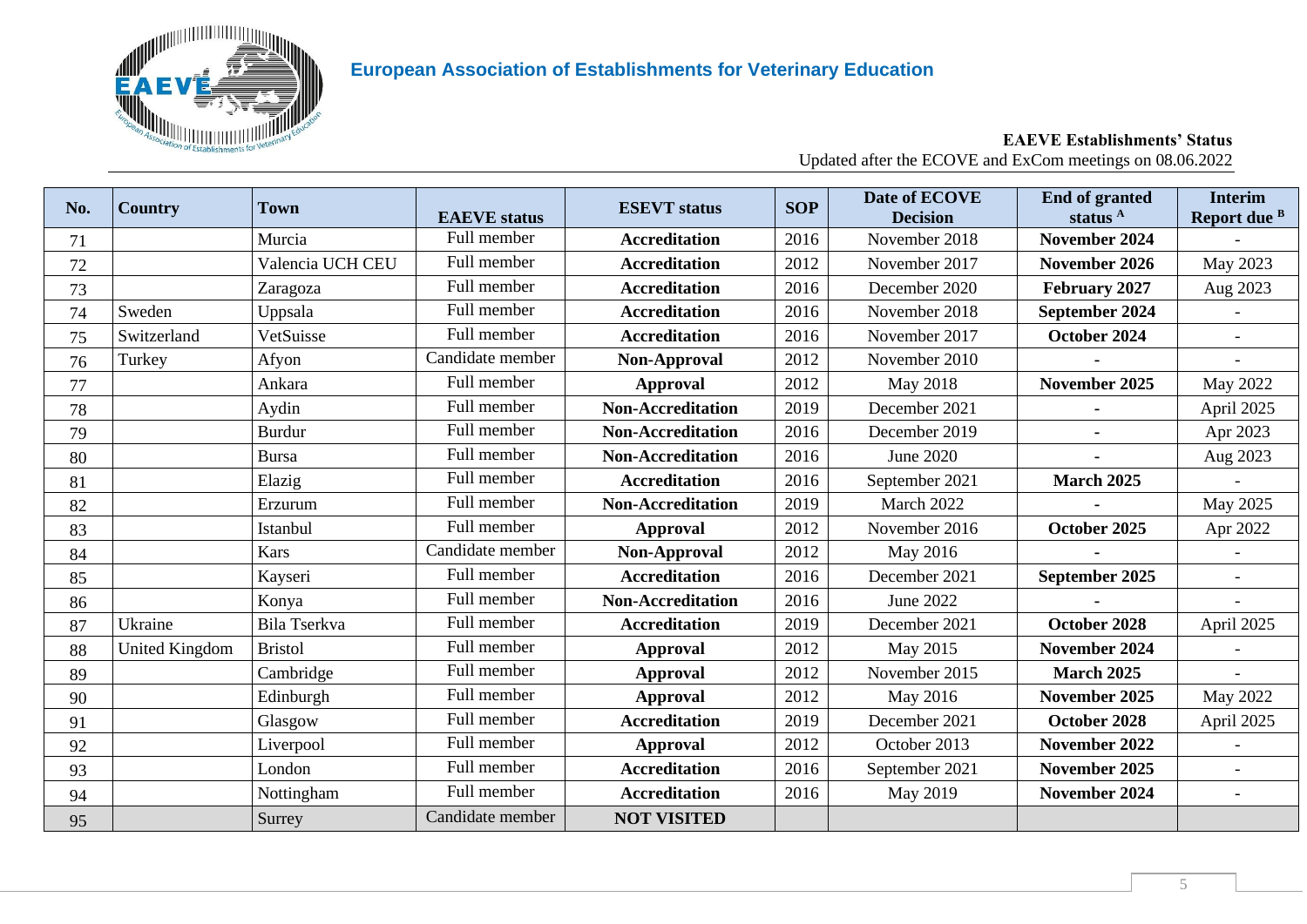

#### **EAEVE Establishments' Status** Updated after the ECOVE and ExCom meetings on 08.06.2022

| No. | <b>Country</b>        | Town             | <b>EAEVE</b> status | <b>ESEVT</b> status      | <b>SOP</b> | Date of ECOVE<br><b>Decision</b> | <b>End of granted</b><br>status <sup>A</sup> | <b>Interim</b><br>Report due B |
|-----|-----------------------|------------------|---------------------|--------------------------|------------|----------------------------------|----------------------------------------------|--------------------------------|
| 71  |                       | Murcia           | Full member         | <b>Accreditation</b>     | 2016       | November 2018                    | November 2024                                |                                |
| 72  |                       | Valencia UCH CEU | Full member         | <b>Accreditation</b>     | 2012       | November 2017                    | November 2026                                | May 2023                       |
| 73  |                       | Zaragoza         | Full member         | <b>Accreditation</b>     | 2016       | December 2020                    | February 2027                                | Aug 2023                       |
| 74  | Sweden                | Uppsala          | Full member         | <b>Accreditation</b>     | 2016       | November 2018                    | September 2024                               |                                |
| 75  | Switzerland           | VetSuisse        | Full member         | <b>Accreditation</b>     | 2016       | November 2017                    | October 2024                                 |                                |
| 76  | Turkey                | Afyon            | Candidate member    | Non-Approval             | 2012       | November 2010                    |                                              |                                |
| 77  |                       | Ankara           | Full member         | <b>Approval</b>          | 2012       | May 2018                         | November 2025                                | May 2022                       |
| 78  |                       | Aydin            | Full member         | <b>Non-Accreditation</b> | 2019       | December 2021                    |                                              | April 2025                     |
| 79  |                       | <b>Burdur</b>    | Full member         | <b>Non-Accreditation</b> | 2016       | December 2019                    |                                              | Apr 2023                       |
| 80  |                       | Bursa            | Full member         | <b>Non-Accreditation</b> | 2016       | June 2020                        |                                              | Aug 2023                       |
| 81  |                       | Elazig           | Full member         | <b>Accreditation</b>     | 2016       | September 2021                   | <b>March 2025</b>                            |                                |
| 82  |                       | Erzurum          | Full member         | <b>Non-Accreditation</b> | 2019       | March 2022                       |                                              | May 2025                       |
| 83  |                       | Istanbul         | Full member         | <b>Approval</b>          | 2012       | November 2016                    | October 2025                                 | Apr 2022                       |
| 84  |                       | <b>Kars</b>      | Candidate member    | Non-Approval             | 2012       | May 2016                         |                                              |                                |
| 85  |                       | Kayseri          | Full member         | <b>Accreditation</b>     | 2016       | December 2021                    | September 2025                               |                                |
| 86  |                       | Konya            | Full member         | <b>Non-Accreditation</b> | 2016       | June 2022                        |                                              | $\equiv$                       |
| 87  | Ukraine               | Bila Tserkva     | Full member         | <b>Accreditation</b>     | 2019       | December 2021                    | October 2028                                 | April 2025                     |
| 88  | <b>United Kingdom</b> | <b>Bristol</b>   | Full member         | <b>Approval</b>          | 2012       | May 2015                         | November 2024                                |                                |
| 89  |                       | Cambridge        | Full member         | <b>Approval</b>          | 2012       | November 2015                    | <b>March 2025</b>                            |                                |
| 90  |                       | Edinburgh        | Full member         | <b>Approval</b>          | 2012       | May 2016                         | November 2025                                | May 2022                       |
| 91  |                       | Glasgow          | Full member         | <b>Accreditation</b>     | 2019       | December 2021                    | October 2028                                 | April 2025                     |
| 92  |                       | Liverpool        | Full member         | <b>Approval</b>          | 2012       | October 2013                     | November 2022                                |                                |
| 93  |                       | London           | Full member         | <b>Accreditation</b>     | 2016       | September 2021                   | November 2025                                |                                |
| 94  |                       | Nottingham       | Full member         | <b>Accreditation</b>     | 2016       | May 2019                         | November 2024                                | $\overline{\phantom{a}}$       |
| 95  |                       | Surrey           | Candidate member    | <b>NOT VISITED</b>       |            |                                  |                                              |                                |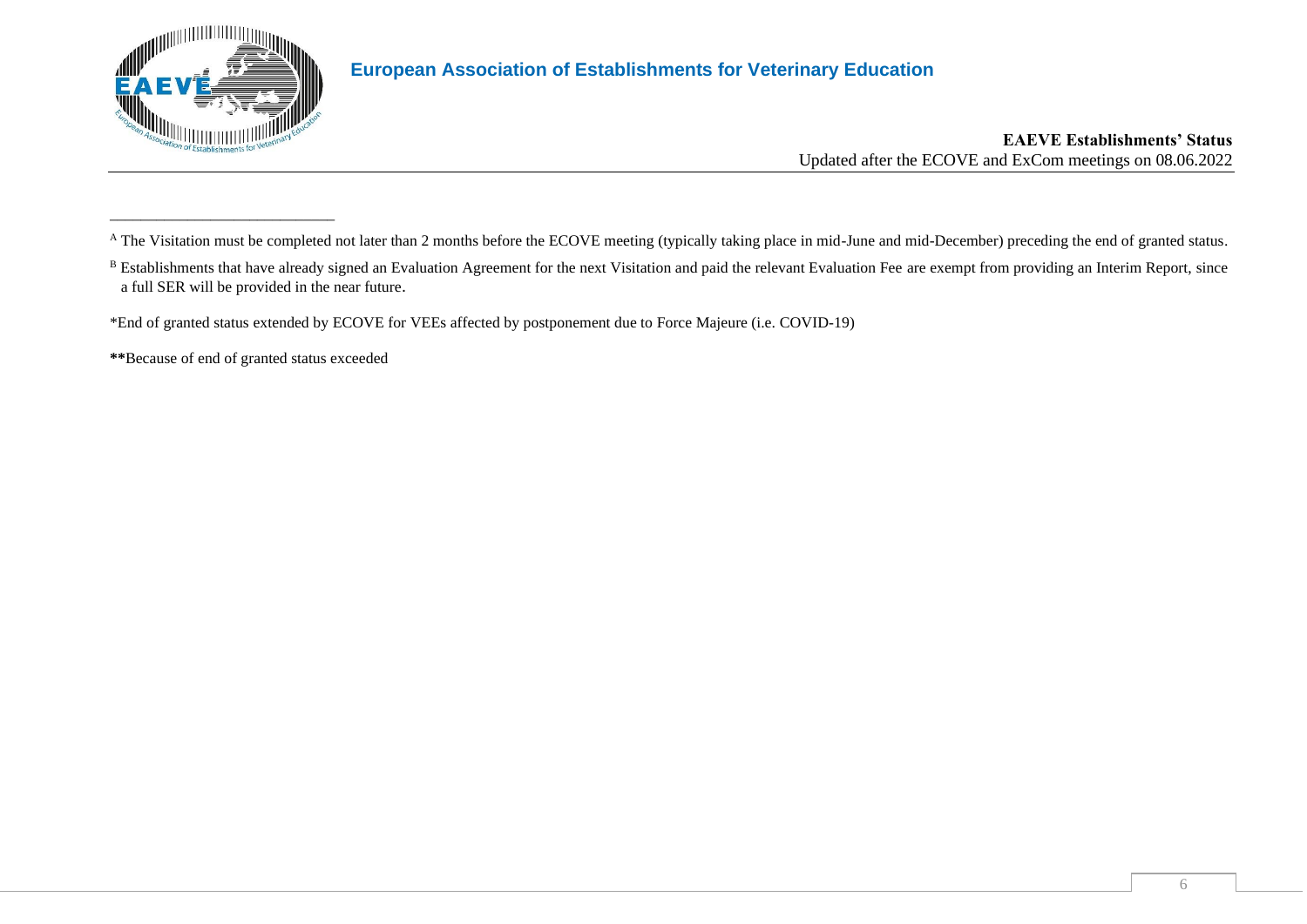

\_\_\_\_\_\_\_\_\_\_\_\_\_\_\_\_\_\_\_\_\_\_\_\_\_\_\_\_\_

### **European Association of Establishments for Veterinary Education**

#### **EAEVE Establishments' Status** Updated after the ECOVE and ExCom meetings on 08.06.2022

\*End of granted status extended by ECOVE for VEEs affected by postponement due to Force Majeure (i.e. COVID-19)

**\*\***Because of end of granted status exceeded

A The Visitation must be completed not later than 2 months before the ECOVE meeting (typically taking place in mid-June and mid-December) preceding the end of granted status.

<sup>&</sup>lt;sup>B</sup> Establishments that have already signed an Evaluation Agreement for the next Visitation and paid the relevant Evaluation Fee are exempt from providing an Interim Report, since a full SER will be provided in the near future.